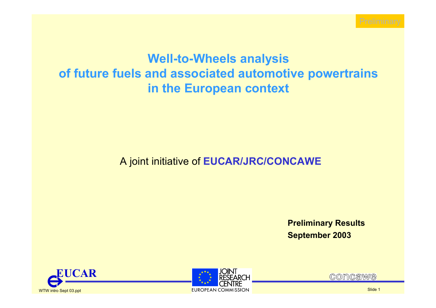

## **Well-to-Wheels analysis of future fuels and associated automotive powertrains in the European context**

#### A joint initiative of **EUCAR/JRC/CONCAWE**

**Preliminary Results September 2003**





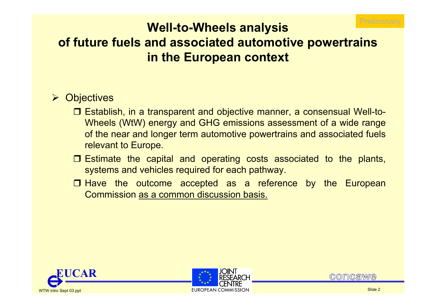

# **Well-to-Wheels analysis of future fuels and associated automotive powertrains in the European context**

#### ¾ Objectives

- □ Establish, in a transparent and objective manner, a consensual Well-to-Wheels (WtW) energy and GHG emissions assessment of a wide range of the near and longer term automotive powertrains and associated fuels relevant to Europe.
- Estimate the capital and operating costs associated to the plants, systems and vehicles required for each pathway.
- $\Box$  Have the outcome accepted as a reference by the European Commission as a common discussion basis.





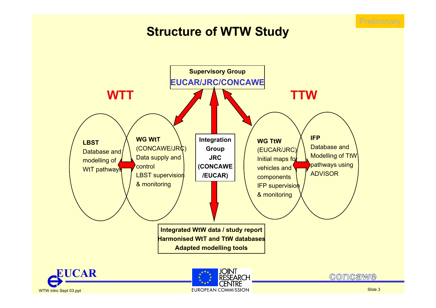

## **Structure of WTW Study**

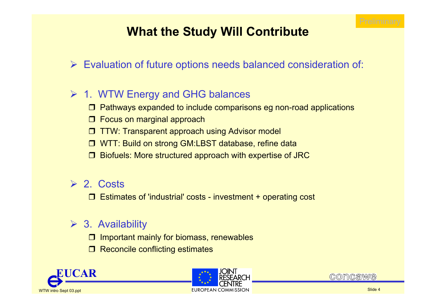

# **What the Study Will Contribute**

### ¾ Evaluation of future options needs balanced consideration of:

### ¾ 1. WTW Energy and GHG balances

- Pathways expanded to include comparisons eg non-road applications
- □ Focus on marginal approach
- $\Box$ TTW: Transparent approach using Advisor model
- WTT: Build on strong GM:LBST database, refine data
- $\Box$ Biofuels: More structured approach with expertise of JRC

#### $\triangleright$  2. Costs

Estimates of 'industrial' costs - investment + operating cost

### $\triangleright$  3. Availability

- $\Box$  Important mainly for biomass, renewables
- $\Box$ Reconcile conflicting estimates





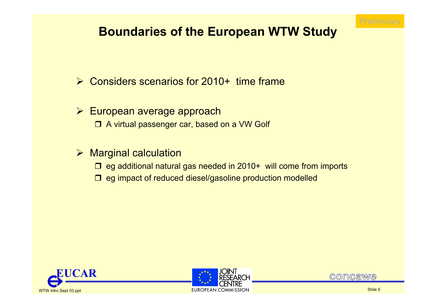

# **Boundaries of the European WTW Study**

- **► Considers scenarios for 2010+ time frame**
- **≻ European average approach** □ A virtual passenger car, based on a VW Golf
- $\triangleright$  Marginal calculation
	- □ eg additional natural gas needed in 2010+ will come from imports
	- $\Box$  eg impact of reduced diesel/gasoline production modelled